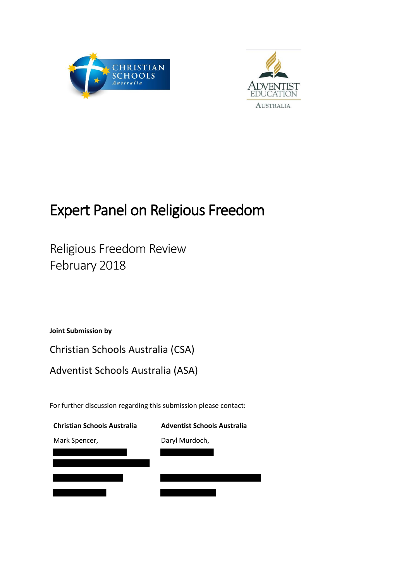



# Expert Panel on Religious Freedom

Religious Freedom Review February 2018

**Joint Submission by**

Christian Schools Australia (CSA)

Adventist Schools Australia (ASA)

For further discussion regarding this submission please contact:

| <b>Christian Schools Australia</b> | <b>Adventist Schools Australia</b> |
|------------------------------------|------------------------------------|
| Mark Spencer,                      | Daryl Murdoch,                     |
|                                    |                                    |
|                                    |                                    |
|                                    |                                    |
|                                    |                                    |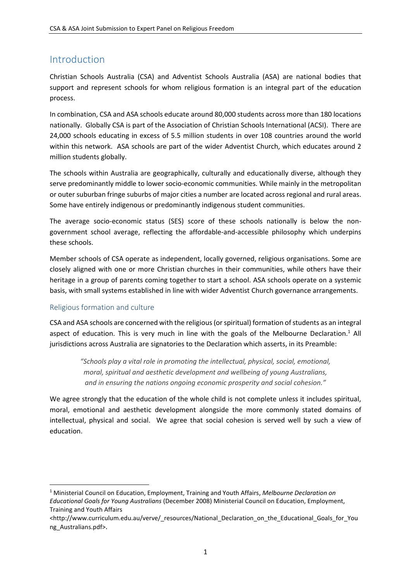# Introduction

Christian Schools Australia (CSA) and Adventist Schools Australia (ASA) are national bodies that support and represent schools for whom religious formation is an integral part of the education process.

In combination, CSA and ASA schools educate around 80,000 students across more than 180 locations nationally. Globally CSA is part of the Association of Christian Schools International (ACSI). There are 24,000 schools educating in excess of 5.5 million students in over 108 countries around the world within this network. ASA schools are part of the wider Adventist Church, which educates around 2 million students globally.

The schools within Australia are geographically, culturally and educationally diverse, although they serve predominantly middle to lower socio-economic communities. While mainly in the metropolitan or outer suburban fringe suburbs of major cities a number are located across regional and rural areas. Some have entirely indigenous or predominantly indigenous student communities.

The average socio-economic status (SES) score of these schools nationally is below the nongovernment school average, reflecting the affordable-and-accessible philosophy which underpins these schools.

Member schools of CSA operate as independent, locally governed, religious organisations. Some are closely aligned with one or more Christian churches in their communities, while others have their heritage in a group of parents coming together to start a school. ASA schools operate on a systemic basis, with small systems established in line with wider Adventist Church governance arrangements.

## Religious formation and culture

CSA and ASA schools are concerned with the religious(or spiritual) formation of students as an integral aspect of education. This is very much in line with the goals of the Melbourne Declaration.<sup>1</sup> All jurisdictions across Australia are signatories to the Declaration which asserts, in its Preamble:

> *"Schools play a vital role in promoting the intellectual, physical, social, emotional, moral, spiritual and aesthetic development and wellbeing of young Australians, and in ensuring the nations ongoing economic prosperity and social cohesion."*

We agree strongly that the education of the whole child is not complete unless it includes spiritual, moral, emotional and aesthetic development alongside the more commonly stated domains of intellectual, physical and social. We agree that social cohesion is served well by such a view of education.

 $\overline{a}$ <sup>1</sup> Ministerial Council on Education, Employment, Training and Youth Affairs, *Melbourne Declaration on Educational Goals for Young Australians* (December 2008) Ministerial Council on Education, Employment, Training and Youth Affairs

<sup>&</sup>lt;http://www.curriculum.edu.au/verve/\_resources/National\_Declaration\_on\_the\_Educational\_Goals\_for\_You ng\_Australians.pdf>.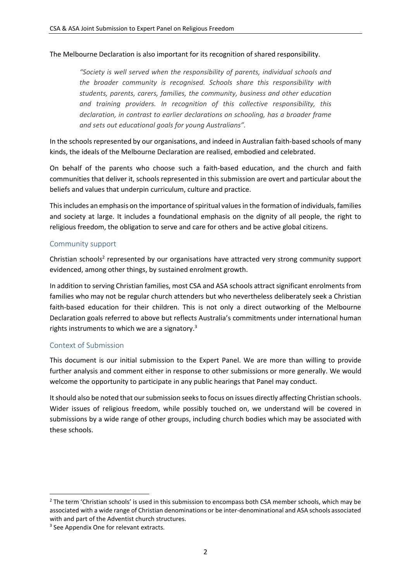#### The Melbourne Declaration is also important for its recognition of shared responsibility.

*"Society is well served when the responsibility of parents, individual schools and the broader community is recognised. Schools share this responsibility with students, parents, carers, families, the community, business and other education and training providers. In recognition of this collective responsibility, this declaration, in contrast to earlier declarations on schooling, has a broader frame and sets out educational goals for young Australians".*

In the schools represented by our organisations, and indeed in Australian faith-based schools of many kinds, the ideals of the Melbourne Declaration are realised, embodied and celebrated.

On behalf of the parents who choose such a faith-based education, and the church and faith communities that deliver it, schools represented in this submission are overt and particular about the beliefs and values that underpin curriculum, culture and practice.

This includes an emphasis on the importance of spiritual values in the formation of individuals, families and society at large. It includes a foundational emphasis on the dignity of all people, the right to religious freedom, the obligation to serve and care for others and be active global citizens.

### Community support

Christian schools<sup>2</sup> represented by our organisations have attracted very strong community support evidenced, among other things, by sustained enrolment growth.

In addition to serving Christian families, most CSA and ASA schools attract significant enrolments from families who may not be regular church attenders but who nevertheless deliberately seek a Christian faith-based education for their children. This is not only a direct outworking of the Melbourne Declaration goals referred to above but reflects Australia's commitments under international human rights instruments to which we are a signatory.<sup>3</sup>

#### Context of Submission

This document is our initial submission to the Expert Panel. We are more than willing to provide further analysis and comment either in response to other submissions or more generally. We would welcome the opportunity to participate in any public hearings that Panel may conduct.

It should also be noted that our submission seeks to focus on issues directly affecting Christian schools. Wider issues of religious freedom, while possibly touched on, we understand will be covered in submissions by a wide range of other groups, including church bodies which may be associated with these schools.

<sup>&</sup>lt;sup>2</sup> The term 'Christian schools' is used in this submission to encompass both CSA member schools, which may be associated with a wide range of Christian denominations or be inter-denominational and ASA schools associated with and part of the Adventist church structures.

<sup>&</sup>lt;sup>3</sup> See Appendix One for relevant extracts.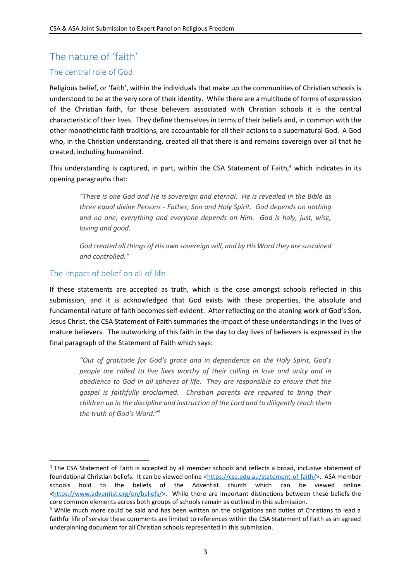# The nature of 'faith'

## The central role of God

Religious belief, or 'faith', within the individuals that make up the communities of Christian schools is understood to be at the very core of their identity. While there are a multitude of forms of expression of the Christian faith, for those believers associated with Christian schools it is the central characteristic of their lives. They define themselves in terms of their beliefs and, in common with the other monotheistic faith traditions, are accountable for all their actions to a supernatural God. A God who, in the Christian understanding, created all that there is and remains sovereign over all that he created, including humankind.

This understanding is captured, in part, within the CSA Statement of Faith, $4$  which indicates in its opening paragraphs that:

*"There is one God and He is sovereign and eternal. He is revealed in the Bible as three equal divine Persons - Father, Son and Holy Spirit. God depends on nothing and no one; everything and everyone depends on Him. God is holy, just, wise, loving and good.*

*God created all things of His own sovereign will, and by His Word they are sustained and controlled."*

## The impact of belief on all of life

1

If these statements are accepted as truth, which is the case amongst schools reflected in this submission, and it is acknowledged that God exists with these properties, the absolute and fundamental nature of faith becomes self-evident. After reflecting on the atoning work of God's Son, Jesus Christ, the CSA Statement of Faith summaries the impact of these understandings in the lives of mature believers. The outworking of this faith in the day to day lives of believers is expressed in the final paragraph of the Statement of Faith which says:

*"Out of gratitude for God's grace and in dependence on the Holy Spirit, God's people are called to live lives worthy of their calling in love and unity and in obedience to God in all spheres of life. They are responsible to ensure that the gospel is faithfully proclaimed. Christian parents are required to bring their children up in the discipline and instruction of the Lord and to diligently teach them the truth of God's Word." 5*

<sup>4</sup> The CSA Statement of Faith is accepted by all member schools and reflects a broad, inclusive statement of foundational Christian beliefs. It can be viewed online [<https://csa.edu.au/statement-of-faith/>](https://csa.edu.au/statement-of-faith/). ASA member schools hold to the beliefs of the Adventist church which can be viewed online [<https://www.adventist.org/en/beliefs/>](https://www.adventist.org/en/beliefs/). While there are important distinctions between these beliefs the core common elements across both groups of schools remain as outlined in this submission.

<sup>5</sup> While much more could be said and has been written on the obligations and duties of Christians to lead a faithful life of service these comments are limited to references within the CSA Statement of Faith as an agreed underpinning document for all Christian schools represented in this submission.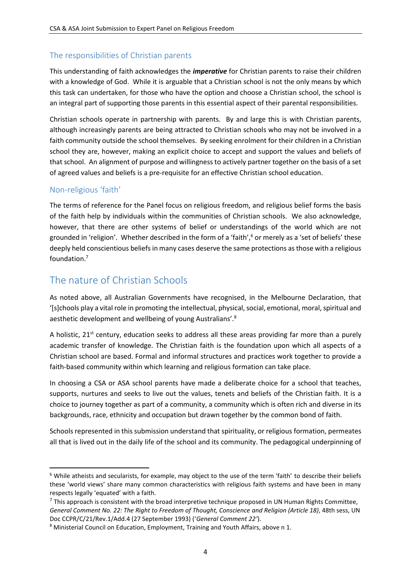## The responsibilities of Christian parents

This understanding of faith acknowledges the *imperative* for Christian parents to raise their children with a knowledge of God. While it is arguable that a Christian school is not the only means by which this task can undertaken, for those who have the option and choose a Christian school, the school is an integral part of supporting those parents in this essential aspect of their parental responsibilities.

Christian schools operate in partnership with parents. By and large this is with Christian parents, although increasingly parents are being attracted to Christian schools who may not be involved in a faith community outside the school themselves. By seeking enrolment for their children in a Christian school they are, however, making an explicit choice to accept and support the values and beliefs of that school. An alignment of purpose and willingness to actively partner together on the basis of a set of agreed values and beliefs is a pre-requisite for an effective Christian school education.

### Non-religious 'faith'

**.** 

The terms of reference for the Panel focus on religious freedom, and religious belief forms the basis of the faith help by individuals within the communities of Christian schools. We also acknowledge, however, that there are other systems of belief or understandings of the world which are not grounded in 'religion'. Whether described in the form of a 'faith',<sup>6</sup> or merely as a 'set of beliefs' these deeply held conscientious beliefs in many cases deserve the same protections as those with a religious foundation.<sup>7</sup>

# The nature of Christian Schools

As noted above, all Australian Governments have recognised, in the Melbourne Declaration, that '[s]chools play a vital role in promoting the intellectual, physical, social, emotional, moral, spiritual and aesthetic development and wellbeing of young Australians'.<sup>8</sup>

A holistic,  $21^{st}$  century, education seeks to address all these areas providing far more than a purely academic transfer of knowledge. The Christian faith is the foundation upon which all aspects of a Christian school are based. Formal and informal structures and practices work together to provide a faith-based community within which learning and religious formation can take place.

In choosing a CSA or ASA school parents have made a deliberate choice for a school that teaches, supports, nurtures and seeks to live out the values, tenets and beliefs of the Christian faith. It is a choice to journey together as part of a community, a community which is often rich and diverse in its backgrounds, race, ethnicity and occupation but drawn together by the common bond of faith.

Schools represented in this submission understand that spirituality, or religious formation, permeates all that is lived out in the daily life of the school and its community. The pedagogical underpinning of

<sup>&</sup>lt;sup>6</sup> While atheists and secularists, for example, may object to the use of the term 'faith' to describe their beliefs these 'world views' share many common characteristics with religious faith systems and have been in many respects legally 'equated' with a faith.

 $<sup>7</sup>$  This approach is consistent with the broad interpretive technique proposed in UN Human Rights Committee,</sup> *General Comment No. 22: The Right to Freedom of Thought, Conscience and Religion (Article 18)*, 48th sess, UN Doc CCPR/C/21/Rev.1/Add.4 (27 September 1993) ('*General Comment 22'*).

<sup>8</sup> Ministerial Council on Education, Employment, Training and Youth Affairs, above n 1.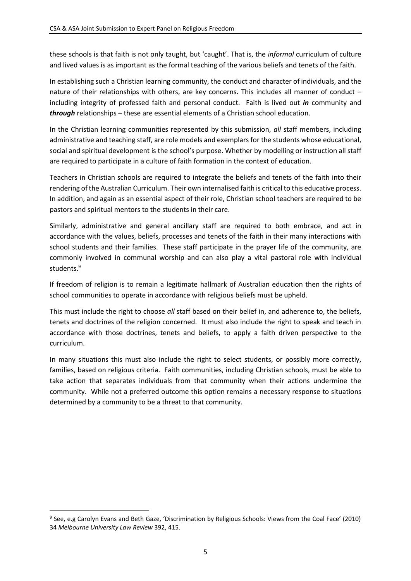these schools is that faith is not only taught, but 'caught'. That is, the *informal* curriculum of culture and lived values is as important as the formal teaching of the various beliefs and tenets of the faith.

In establishing such a Christian learning community, the conduct and character of individuals, and the nature of their relationships with others, are key concerns. This includes all manner of conduct – including integrity of professed faith and personal conduct. Faith is lived out *in* community and *through* relationships – these are essential elements of a Christian school education.

In the Christian learning communities represented by this submission, *all* staff members, including administrative and teaching staff, are role models and exemplars for the students whose educational, social and spiritual development is the school's purpose. Whether by modelling or instruction all staff are required to participate in a culture of faith formation in the context of education.

Teachers in Christian schools are required to integrate the beliefs and tenets of the faith into their rendering of the Australian Curriculum. Their own internalised faith is critical to this educative process. In addition, and again as an essential aspect of their role, Christian school teachers are required to be pastors and spiritual mentors to the students in their care.

Similarly, administrative and general ancillary staff are required to both embrace, and act in accordance with the values, beliefs, processes and tenets of the faith in their many interactions with school students and their families. These staff participate in the prayer life of the community, are commonly involved in communal worship and can also play a vital pastoral role with individual students.<sup>9</sup>

If freedom of religion is to remain a legitimate hallmark of Australian education then the rights of school communities to operate in accordance with religious beliefs must be upheld.

This must include the right to choose *all* staff based on their belief in, and adherence to, the beliefs, tenets and doctrines of the religion concerned. It must also include the right to speak and teach in accordance with those doctrines, tenets and beliefs, to apply a faith driven perspective to the curriculum.

In many situations this must also include the right to select students, or possibly more correctly, families, based on religious criteria. Faith communities, including Christian schools, must be able to take action that separates individuals from that community when their actions undermine the community. While not a preferred outcome this option remains a necessary response to situations determined by a community to be a threat to that community.

<sup>9</sup> See, e.g Carolyn Evans and Beth Gaze, 'Discrimination by Religious Schools: Views from the Coal Face' (2010) 34 *Melbourne University Law Review* 392, 415.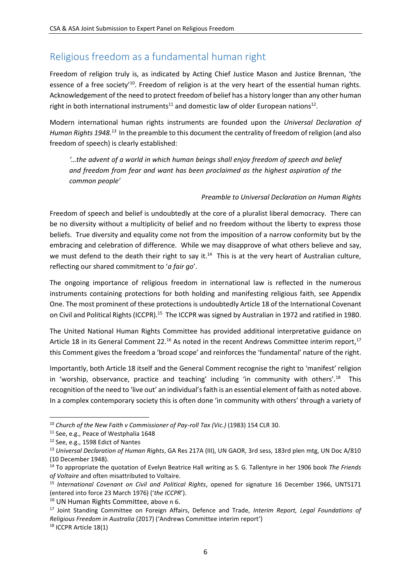# Religious freedom as a fundamental human right

Freedom of religion truly is, as indicated by Acting Chief Justice Mason and Justice Brennan, 'the essence of a free society<sup>'10</sup>. Freedom of religion is at the very heart of the essential human rights. Acknowledgement of the need to protect freedom of belief has a history longer than any other human right in both international instruments<sup>11</sup> and domestic law of older European nations<sup>12</sup>.

Modern international human rights instruments are founded upon the *Universal Declaration of Human Rights 1948.<sup>13</sup>* In the preamble to this document the centrality of freedom of religion (and also freedom of speech) is clearly established:

*'…the advent of a world in which human beings shall enjoy freedom of speech and belief and freedom from fear and want has been proclaimed as the highest aspiration of the common people'*

#### *Preamble to Universal Declaration on Human Rights*

Freedom of speech and belief is undoubtedly at the core of a pluralist liberal democracy. There can be no diversity without a multiplicity of belief and no freedom without the liberty to express those beliefs. True diversity and equality come not from the imposition of a narrow conformity but by the embracing and celebration of difference. While we may disapprove of what others believe and say, we must defend to the death their right to say it.<sup>14</sup> This is at the very heart of Australian culture, reflecting our shared commitment to '*a fair go*'.

The ongoing importance of religious freedom in international law is reflected in the numerous instruments containing protections for both holding and manifesting religious faith, see Appendix One. The most prominent of these protections is undoubtedly Article 18 of the International Covenant on Civil and Political Rights (ICCPR).<sup>15</sup> The ICCPR was signed by Australian in 1972 and ratified in 1980.

The United National Human Rights Committee has provided additional interpretative guidance on Article 18 in its General Comment 22.<sup>16</sup> As noted in the recent Andrews Committee interim report,<sup>17</sup> this Comment gives the freedom a 'broad scope' and reinforces the 'fundamental' nature of the right.

Importantly, both Article 18 itself and the General Comment recognise the right to 'manifest' religion in 'worship, observance, practice and teaching' including 'in community with others'.<sup>18</sup> This recognition of the need to 'live out' an individual's faith is an essential element of faith as noted above. In a complex contemporary society this is often done 'in community with others' through a variety of

**<sup>.</sup>** <sup>10</sup> *Church of the New Faith v Commissioner of Pay-roll Tax (Vic.)* (1983) 154 CLR 30.

<sup>11</sup> See, e.g., Peace of Westphalia 1648

<sup>12</sup> See, e.g., 1598 Edict of Nantes

<sup>13</sup> *Universal Declaration of Human Rights*, GA Res 217A (III), UN GAOR, 3rd sess, 183rd plen mtg, UN Doc A/810 (10 December 1948).

<sup>14</sup> To appropriate the quotation of Evelyn Beatrice Hall writing as S. G. Tallentyre in her 1906 book *The Friends of Voltaire* and often misattributed to Voltaire.

<sup>15</sup> *International Covenant on Civil and Political Rights*, opened for signature 16 December 1966, UNTS171 (entered into force 23 March 1976) ('*the ICCPR*').

<sup>&</sup>lt;sup>16</sup> UN Human Rights Committee, above n 6.

<sup>17</sup> Joint Standing Committee on Foreign Affairs, Defence and Trade, *Interim Report, Legal Foundations of Religious Freedom in Australia* (2017) ('Andrews Committee interim report')

<sup>18</sup> ICCPR Article 18(1)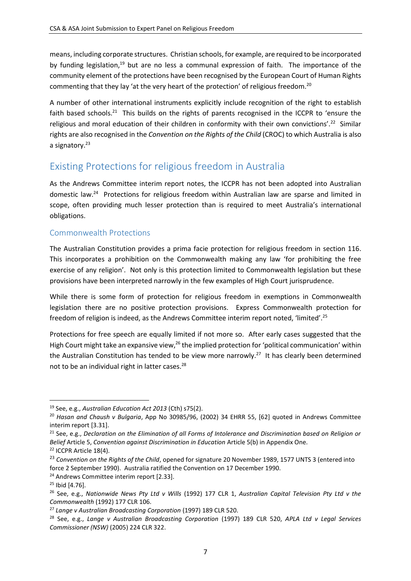means, including corporate structures. Christian schools, for example, are required to be incorporated by funding legislation,<sup>19</sup> but are no less a communal expression of faith. The importance of the community element of the protections have been recognised by the European Court of Human Rights commenting that they lay 'at the very heart of the protection' of religious freedom.<sup>20</sup>

A number of other international instruments explicitly include recognition of the right to establish faith based schools.<sup>21</sup> This builds on the rights of parents recognised in the ICCPR to 'ensure the religious and moral education of their children in conformity with their own convictions'.<sup>22</sup> Similar rights are also recognised in the *Convention on the Rights of the Child* (CROC) to which Australia is also a signatory.<sup>23</sup>

# Existing Protections for religious freedom in Australia

As the Andrews Committee interim report notes, the ICCPR has not been adopted into Australian domestic law.<sup>24</sup> Protections for religious freedom within Australian law are sparse and limited in scope, often providing much lesser protection than is required to meet Australia's international obligations.

## Commonwealth Protections

The Australian Constitution provides a prima facie protection for religious freedom in section 116. This incorporates a prohibition on the Commonwealth making any law 'for prohibiting the free exercise of any religion'. Not only is this protection limited to Commonwealth legislation but these provisions have been interpreted narrowly in the few examples of High Court jurisprudence.

While there is some form of protection for religious freedom in exemptions in Commonwealth legislation there are no positive protection provisions. Express Commonwealth protection for freedom of religion is indeed, as the Andrews Committee interim report noted, 'limited'.<sup>25</sup>

Protections for free speech are equally limited if not more so. After early cases suggested that the High Court might take an expansive view,<sup>26</sup> the implied protection for 'political communication' within the Australian Constitution has tended to be view more narrowly.<sup>27</sup> It has clearly been determined not to be an individual right in latter cases.<sup>28</sup>

<sup>19</sup> See, e.g., *Australian Education Act 2013* (Cth) s75(2).

<sup>20</sup> *Hasan and Chaush v Bulgaria*, App No 30985/96, (2002) 34 EHRR 55, [62] quoted in Andrews Committee interim report [3.31].

<sup>21</sup> See, e.g., *Declaration on the Elimination of all Forms of Intolerance and Discrimination based on Religion or Belief* Article 5, *Convention against Discrimination in Education* Article 5(b) in Appendix One. <sup>22</sup> ICCPR Article 18(4).

<sup>23</sup> *Convention on the Rights of the Child*, opened for signature 20 November 1989, 1577 UNTS 3 (entered into force 2 September 1990). Australia ratified the Convention on 17 December 1990.

<sup>&</sup>lt;sup>24</sup> Andrews Committee interim report [2.33].

<sup>25</sup> Ibid [4.76].

<sup>26</sup> See, e.g., *Nationwide News Pty Ltd v Wills* (1992) 177 CLR 1, *Australian Capital Television Pty Ltd v the Commonwealth* (1992) 177 CLR 106.

<sup>27</sup> *Lange v Australian Broadcasting Corporation* (1997) 189 CLR 520.

<sup>28</sup> See, e.g., *Lange v Australian Broadcasting Corporation* (1997) 189 CLR 520, *APLA Ltd v Legal Services Commissioner (NSW)* (2005) 224 CLR 322.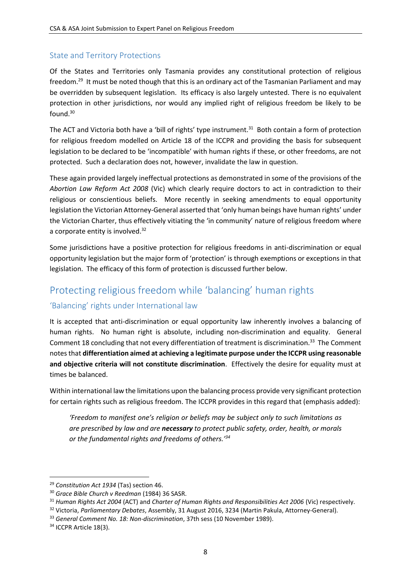## State and Territory Protections

Of the States and Territories only Tasmania provides any constitutional protection of religious freedom.<sup>29</sup> It must be noted though that this is an ordinary act of the Tasmanian Parliament and may be overridden by subsequent legislation. Its efficacy is also largely untested. There is no equivalent protection in other jurisdictions, nor would any implied right of religious freedom be likely to be found. 30

The ACT and Victoria both have a 'bill of rights' type instrument.<sup>31</sup> Both contain a form of protection for religious freedom modelled on Article 18 of the ICCPR and providing the basis for subsequent legislation to be declared to be 'incompatible' with human rights if these, or other freedoms, are not protected. Such a declaration does not, however, invalidate the law in question.

These again provided largely ineffectual protections as demonstrated in some of the provisions of the *Abortion Law Reform Act 2008* (Vic) which clearly require doctors to act in contradiction to their religious or conscientious beliefs. More recently in seeking amendments to equal opportunity legislation the Victorian Attorney-General asserted that 'only human beings have human rights' under the Victorian Charter, thus effectively vitiating the 'in community' nature of religious freedom where a corporate entity is involved.<sup>32</sup>

Some jurisdictions have a positive protection for religious freedoms in anti-discrimination or equal opportunity legislation but the major form of 'protection' is through exemptions or exceptions in that legislation. The efficacy of this form of protection is discussed further below.

# Protecting religious freedom while 'balancing' human rights

## 'Balancing' rights under International law

It is accepted that anti-discrimination or equal opportunity law inherently involves a balancing of human rights. No human right is absolute, including non-discrimination and equality. General Comment 18 concluding that not every differentiation of treatment is discrimination.<sup>33</sup> The Comment notes that **differentiation aimed at achieving a legitimate purpose under the ICCPR using reasonable and objective criteria will not constitute discrimination**. Effectively the desire for equality must at times be balanced.

Within international law the limitations upon the balancing process provide very significant protection for certain rights such as religious freedom. The ICCPR provides in this regard that (emphasis added):

*'Freedom to manifest one's religion or beliefs may be subject only to such limitations as are prescribed by law and are necessary to protect public safety, order, health, or morals or the fundamental rights and freedoms of others.'<sup>34</sup>*

<sup>29</sup> *Constitution Act 1934* (Tas) section 46.

<sup>30</sup> *Grace Bible Church v Reedman* (1984) 36 SASR.

<sup>31</sup> *Human Rights Act 2004* (ACT) and *Charter of Human Rights and Responsibilities Act 2006* (Vic) respectively.

<sup>32</sup> Victoria, *Parliamentary Debates*, Assembly, 31 August 2016, 3234 (Martin Pakula, Attorney-General).

<sup>33</sup> *General Comment No. 18: Non-discrimination*, 37th sess (10 November 1989).

<sup>&</sup>lt;sup>34</sup> ICCPR Article 18(3).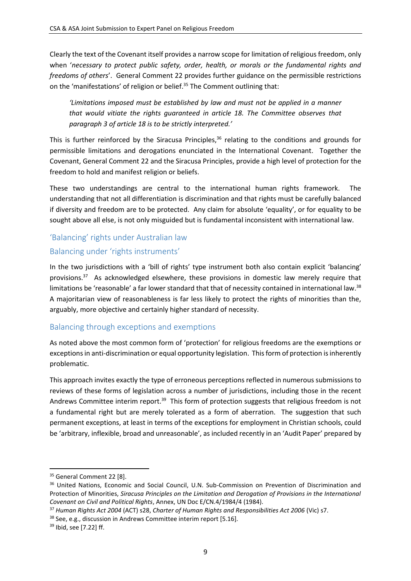Clearly the text of the Covenant itself provides a narrow scope for limitation of religious freedom, only when '*necessary to protect public safety, order, health, or morals or the fundamental rights and freedoms of others*'. General Comment 22 provides further guidance on the permissible restrictions on the 'manifestations' of religion or belief.<sup>35</sup> The Comment outlining that:

*'Limitations imposed must be established by law and must not be applied in a manner that would vitiate the rights guaranteed in article 18. The Committee observes that paragraph 3 of article 18 is to be strictly interpreted.'*

This is further reinforced by the Siracusa Principles,<sup>36</sup> relating to the conditions and grounds for permissible limitations and derogations enunciated in the International Covenant. Together the Covenant, General Comment 22 and the Siracusa Principles, provide a high level of protection for the freedom to hold and manifest religion or beliefs.

These two understandings are central to the international human rights framework. The understanding that not all differentiation is discrimination and that rights must be carefully balanced if diversity and freedom are to be protected. Any claim for absolute 'equality', or for equality to be sought above all else, is not only misguided but is fundamental inconsistent with international law.

## 'Balancing' rights under Australian law

## Balancing under 'rights instruments'

In the two jurisdictions with a 'bill of rights' type instrument both also contain explicit 'balancing' provisions.<sup>37</sup> As acknowledged elsewhere, these provisions in domestic law merely require that limitations be 'reasonable' a far lower standard that that of necessity contained in international law.<sup>38</sup> A majoritarian view of reasonableness is far less likely to protect the rights of minorities than the, arguably, more objective and certainly higher standard of necessity.

## Balancing through exceptions and exemptions

As noted above the most common form of 'protection' for religious freedoms are the exemptions or exceptions in anti-discrimination or equal opportunity legislation. This form of protection is inherently problematic.

This approach invites exactly the type of erroneous perceptions reflected in numerous submissions to reviews of these forms of legislation across a number of jurisdictions, including those in the recent Andrews Committee interim report.<sup>39</sup> This form of protection suggests that religious freedom is not a fundamental right but are merely tolerated as a form of aberration. The suggestion that such permanent exceptions, at least in terms of the exceptions for employment in Christian schools, could be 'arbitrary, inflexible, broad and unreasonable', as included recently in an 'Audit Paper' prepared by

<sup>&</sup>lt;sup>35</sup> General Comment 22 [8].

<sup>&</sup>lt;sup>36</sup> United Nations, Economic and Social Council, U.N. Sub-Commission on Prevention of Discrimination and Protection of Minorities, *Siracusa Principles on the Limitation and Derogation of Provisions in the International Covenant on Civil and Political Rights*, Annex, UN Doc E/CN.4/1984/4 (1984).

<sup>37</sup> *Human Rights Act 2004* (ACT) s28, *Charter of Human Rights and Responsibilities Act 2006* (Vic) s7.

<sup>38</sup> See, e.g., discussion in Andrews Committee interim report [5.16].

<sup>39</sup> Ibid, see [7.22] ff.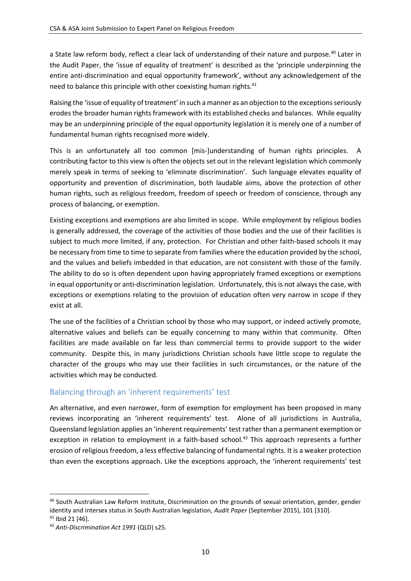a State law reform body, reflect a clear lack of understanding of their nature and purpose.<sup>40</sup> Later in the Audit Paper, the 'issue of equality of treatment' is described as the 'principle underpinning the entire anti-discrimination and equal opportunity framework', without any acknowledgement of the need to balance this principle with other coexisting human rights.<sup>41</sup>

Raising the 'issue of equality of treatment' in such a manner as an objection to the exceptions seriously erodes the broader human rights framework with its established checks and balances. While equality may be an underpinning principle of the equal opportunity legislation it is merely one of a number of fundamental human rights recognised more widely.

This is an unfortunately all too common [mis-]understanding of human rights principles. A contributing factor to this view is often the objects set out in the relevant legislation which commonly merely speak in terms of seeking to 'eliminate discrimination'. Such language elevates equality of opportunity and prevention of discrimination, both laudable aims, above the protection of other human rights, such as religious freedom, freedom of speech or freedom of conscience, through any process of balancing, or exemption.

Existing exceptions and exemptions are also limited in scope. While employment by religious bodies is generally addressed, the coverage of the activities of those bodies and the use of their facilities is subject to much more limited, if any, protection. For Christian and other faith-based schools it may be necessary from time to time to separate from families where the education provided by the school, and the values and beliefs imbedded in that education, are not consistent with those of the family. The ability to do so is often dependent upon having appropriately framed exceptions or exemptions in equal opportunity or anti-discrimination legislation. Unfortunately, this is not always the case, with exceptions or exemptions relating to the provision of education often very narrow in scope if they exist at all.

The use of the facilities of a Christian school by those who may support, or indeed actively promote, alternative values and beliefs can be equally concerning to many within that community. Often facilities are made available on far less than commercial terms to provide support to the wider community. Despite this, in many jurisdictions Christian schools have little scope to regulate the character of the groups who may use their facilities in such circumstances, or the nature of the activities which may be conducted.

## Balancing through an 'inherent requirements' test

An alternative, and even narrower, form of exemption for employment has been proposed in many reviews incorporating an 'inherent requirements' test. Alone of all jurisdictions in Australia, Queensland legislation applies an 'inherent requirements' test rather than a permanent exemption or exception in relation to employment in a faith-based school.<sup>42</sup> This approach represents a further erosion of religious freedom, a less effective balancing of fundamental rights. It is a weaker protection than even the exceptions approach. Like the exceptions approach, the 'inherent requirements' test

<sup>40</sup> South Australian Law Reform Institute, Discrimination on the grounds of sexual orientation, gender, gender identity and intersex status in South Australian legislation, *Audit Paper* (September 2015), 101 [310].

<sup>41</sup> Ibid 21 [46].

<sup>42</sup> *Anti-Discrimination Act 1991* (QLD) s25.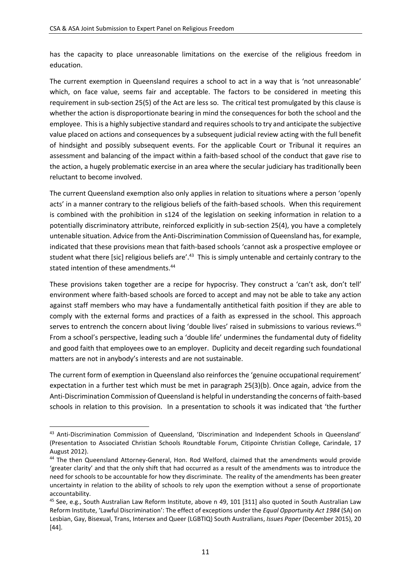has the capacity to place unreasonable limitations on the exercise of the religious freedom in education.

The current exemption in Queensland requires a school to act in a way that is 'not unreasonable' which, on face value, seems fair and acceptable. The factors to be considered in meeting this requirement in sub-section 25(5) of the Act are less so. The critical test promulgated by this clause is whether the action is disproportionate bearing in mind the consequences for both the school and the employee. This is a highly subjective standard and requires schools to try and anticipate the subjective value placed on actions and consequences by a subsequent judicial review acting with the full benefit of hindsight and possibly subsequent events. For the applicable Court or Tribunal it requires an assessment and balancing of the impact within a faith-based school of the conduct that gave rise to the action, a hugely problematic exercise in an area where the secular judiciary has traditionally been reluctant to become involved.

The current Queensland exemption also only applies in relation to situations where a person 'openly acts' in a manner contrary to the religious beliefs of the faith-based schools. When this requirement is combined with the prohibition in s124 of the legislation on seeking information in relation to a potentially discriminatory attribute, reinforced explicitly in sub-section 25(4), you have a completely untenable situation. Advice from the Anti-Discrimination Commission of Queensland has, for example, indicated that these provisions mean that faith-based schools 'cannot ask a prospective employee or student what there [sic] religious beliefs are'.<sup>43</sup> This is simply untenable and certainly contrary to the stated intention of these amendments.<sup>44</sup>

These provisions taken together are a recipe for hypocrisy. They construct a 'can't ask, don't tell' environment where faith-based schools are forced to accept and may not be able to take any action against staff members who may have a fundamentally antithetical faith position if they are able to comply with the external forms and practices of a faith as expressed in the school. This approach serves to entrench the concern about living 'double lives' raised in submissions to various reviews.<sup>45</sup> From a school's perspective, leading such a 'double life' undermines the fundamental duty of fidelity and good faith that employees owe to an employer. Duplicity and deceit regarding such foundational matters are not in anybody's interests and are not sustainable.

The current form of exemption in Queensland also reinforces the 'genuine occupational requirement' expectation in a further test which must be met in paragraph 25(3)(b). Once again, advice from the Anti-Discrimination Commission of Queensland is helpful in understanding the concerns of faith-based schools in relation to this provision. In a presentation to schools it was indicated that 'the further

<sup>43</sup> Anti-Discrimination Commission of Queensland, 'Discrimination and Independent Schools in Queensland' (Presentation to Associated Christian Schools Roundtable Forum, Citipointe Christian College, Carindale, 17 August 2012).

<sup>&</sup>lt;sup>44</sup> The then Queensland Attorney-General, Hon. Rod Welford, claimed that the amendments would provide 'greater clarity' and that the only shift that had occurred as a result of the amendments was to introduce the need for schools to be accountable for how they discriminate. The reality of the amendments has been greater uncertainty in relation to the ability of schools to rely upon the exemption without a sense of proportionate accountability.

<sup>45</sup> See, e.g., South Australian Law Reform Institute, above n 49, 101 [311] also quoted in South Australian Law Reform Institute, 'Lawful Discrimination': The effect of exceptions under the *Equal Opportunity Act 1984* (SA) on Lesbian, Gay, Bisexual, Trans, Intersex and Queer (LGBTIQ) South Australians, *Issues Paper* (December 2015), 20 [44].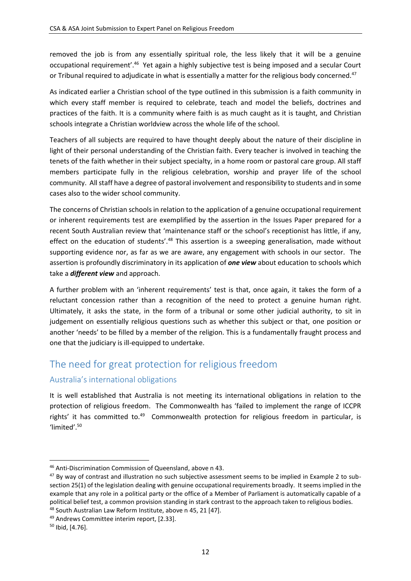removed the job is from any essentially spiritual role, the less likely that it will be a genuine occupational requirement'.<sup>46</sup> Yet again a highly subjective test is being imposed and a secular Court or Tribunal required to adjudicate in what is essentially a matter for the religious body concerned.<sup>47</sup>

As indicated earlier a Christian school of the type outlined in this submission is a faith community in which every staff member is required to celebrate, teach and model the beliefs, doctrines and practices of the faith. It is a community where faith is as much caught as it is taught, and Christian schools integrate a Christian worldview across the whole life of the school.

Teachers of all subjects are required to have thought deeply about the nature of their discipline in light of their personal understanding of the Christian faith. Every teacher is involved in teaching the tenets of the faith whether in their subject specialty, in a home room or pastoral care group. All staff members participate fully in the religious celebration, worship and prayer life of the school community. All staff have a degree of pastoral involvement and responsibility to students and in some cases also to the wider school community.

The concerns of Christian schools in relation to the application of a genuine occupational requirement or inherent requirements test are exemplified by the assertion in the Issues Paper prepared for a recent South Australian review that 'maintenance staff or the school's receptionist has little, if any, effect on the education of students'.<sup>48</sup> This assertion is a sweeping generalisation, made without supporting evidence nor, as far as we are aware, any engagement with schools in our sector. The assertion is profoundly discriminatory in its application of *one view* about education to schools which take a *different view* and approach.

A further problem with an 'inherent requirements' test is that, once again, it takes the form of a reluctant concession rather than a recognition of the need to protect a genuine human right. Ultimately, it asks the state, in the form of a tribunal or some other judicial authority, to sit in judgement on essentially religious questions such as whether this subject or that, one position or another 'needs' to be filled by a member of the religion. This is a fundamentally fraught process and one that the judiciary is ill-equipped to undertake.

## The need for great protection for religious freedom

## Australia's international obligations

It is well established that Australia is not meeting its international obligations in relation to the protection of religious freedom. The Commonwealth has 'failed to implement the range of ICCPR rights' it has committed to.<sup>49</sup> Commonwealth protection for religious freedom in particular, is 'limited'.<sup>50</sup>

<sup>46</sup> Anti-Discrimination Commission of Queensland, above n 43.

<sup>&</sup>lt;sup>47</sup> By way of contrast and illustration no such subjective assessment seems to be implied in Example 2 to subsection 25(1) of the legislation dealing with genuine occupational requirements broadly. It seems implied in the example that any role in a political party or the office of a Member of Parliament is automatically capable of a political belief test, a common provision standing in stark contrast to the approach taken to religious bodies. <sup>48</sup> South Australian Law Reform Institute, above n 45, 21 [47].

<sup>49</sup> Andrews Committee interim report, [2.33].

<sup>50</sup> Ibid, [4.76].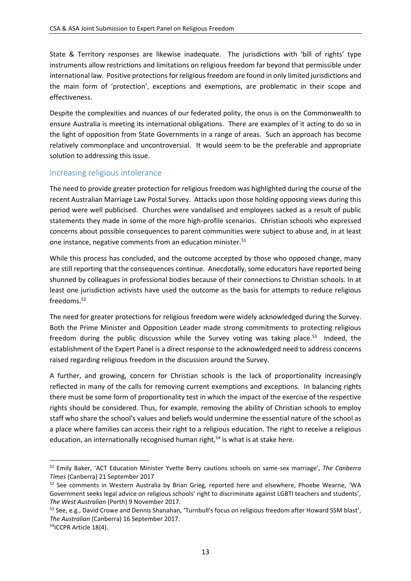State & Territory responses are likewise inadequate. The jurisdictions with 'bill of rights' type instruments allow restrictions and limitations on religious freedom far beyond that permissible under international law. Positive protections for religious freedom are found in only limited jurisdictions and the main form of 'protection', exceptions and exemptions, are problematic in their scope and effectiveness.

Despite the complexities and nuances of our federated polity, the onus is on the Commonwealth to ensure Australia is meeting its international obligations. There are examples of it acting to do so in the light of opposition from State Governments in a range of areas. Such an approach has become relatively commonplace and uncontroversial. It would seem to be the preferable and appropriate solution to addressing this issue.

### Increasing religious intolerance

The need to provide greater protection for religious freedom was highlighted during the course of the recent Australian Marriage Law Postal Survey. Attacks upon those holding opposing views during this period were well publicised. Churches were vandalised and employees sacked as a result of public statements they made in some of the more high-profile scenarios. Christian schools who expressed concerns about possible consequences to parent communities were subject to abuse and, in at least one instance, negative comments from an education minister.<sup>51</sup>

While this process has concluded, and the outcome accepted by those who opposed change, many are still reporting that the consequences continue. Anecdotally, some educators have reported being shunned by colleagues in professional bodies because of their connections to Christian schools. In at least one jurisdiction activists have used the outcome as the basis for attempts to reduce religious freedoms<sup>52</sup>

The need for greater protections for religious freedom were widely acknowledged during the Survey. Both the Prime Minister and Opposition Leader made strong commitments to protecting religious freedom during the public discussion while the Survey voting was taking place.<sup>53</sup> Indeed, the establishment of the Expert Panel is a direct response to the acknowledged need to address concerns raised regarding religious freedom in the discussion around the Survey.

A further, and growing, concern for Christian schools is the lack of proportionality increasingly reflected in many of the calls for removing current exemptions and exceptions. In balancing rights there must be some form of proportionality test in which the impact of the exercise of the respective rights should be considered. Thus, for example, removing the ability of Christian schools to employ staff who share the school's values and beliefs would undermine the essential nature of the school as a place where families can access their right to a religious education. The right to receive a religious education, an internationally recognised human right, $54$  is what is at stake here.

<sup>51</sup> Emily Baker, 'ACT Education Minister Yvette Berry cautions schools on same-sex marriage', *The Canberra Times* (Canberra) 21 September 2017

<sup>&</sup>lt;sup>52</sup> See comments in Western Australia by Brian Grieg, reported here and elsewhere, Phoebe Wearne, 'WA Government seeks legal advice on religious schools' right to discriminate against LGBTI teachers and students', *The West Australian* (Perth) 9 November 2017.

<sup>53</sup> See, e.g., David Crowe and Dennis Shanahan, 'Turnbull's focus on religious freedom after Howard SSM blast', *The Australian* (Canberra) 16 September 2017.

<sup>54</sup>ICCPR Article 18(4).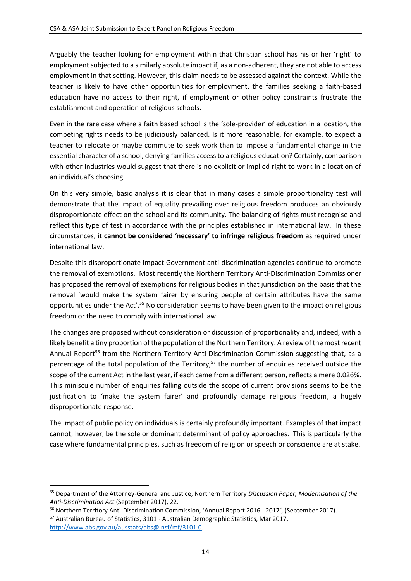Arguably the teacher looking for employment within that Christian school has his or her 'right' to employment subjected to a similarly absolute impact if, as a non-adherent, they are not able to access employment in that setting. However, this claim needs to be assessed against the context. While the teacher is likely to have other opportunities for employment, the families seeking a faith-based education have no access to their right, if employment or other policy constraints frustrate the establishment and operation of religious schools.

Even in the rare case where a faith based school is the 'sole-provider' of education in a location, the competing rights needs to be judiciously balanced. Is it more reasonable, for example, to expect a teacher to relocate or maybe commute to seek work than to impose a fundamental change in the essential character of a school, denying families access to a religious education? Certainly, comparison with other industries would suggest that there is no explicit or implied right to work in a location of an individual's choosing.

On this very simple, basic analysis it is clear that in many cases a simple proportionality test will demonstrate that the impact of equality prevailing over religious freedom produces an obviously disproportionate effect on the school and its community. The balancing of rights must recognise and reflect this type of test in accordance with the principles established in international law. In these circumstances, it **cannot be considered 'necessary' to infringe religious freedom** as required under international law.

Despite this disproportionate impact Government anti-discrimination agencies continue to promote the removal of exemptions. Most recently the Northern Territory Anti-Discrimination Commissioner has proposed the removal of exemptions for religious bodies in that jurisdiction on the basis that the removal 'would make the system fairer by ensuring people of certain attributes have the same opportunities under the Act'.<sup>55</sup> No consideration seems to have been given to the impact on religious freedom or the need to comply with international law.

The changes are proposed without consideration or discussion of proportionality and, indeed, with a likely benefit a tiny proportion of the population of the Northern Territory. A review of the most recent Annual Report<sup>56</sup> from the Northern Territory Anti-Discrimination Commission suggesting that, as a percentage of the total population of the Territory,<sup>57</sup> the number of enquiries received outside the scope of the current Act in the last year, if each came from a different person, reflects a mere 0.026%. This miniscule number of enquiries falling outside the scope of current provisions seems to be the justification to 'make the system fairer' and profoundly damage religious freedom, a hugely disproportionate response.

The impact of public policy on individuals is certainly profoundly important. Examples of that impact cannot, however, be the sole or dominant determinant of policy approaches. This is particularly the case where fundamental principles, such as freedom of religion or speech or conscience are at stake.

<sup>55</sup> Department of the Attorney-General and Justice, Northern Territory *Discussion Paper, Modernisation of the Anti-Discrimination Act* (September 2017), 22.

<sup>56</sup> Northern Territory Anti-Discrimination Commission, 'Annual Report 2016 - 2017*'*, (September 2017). <sup>57</sup> Australian Bureau of Statistics, 3101 - Australian Demographic Statistics, Mar 2017,

[http://www.abs.gov.au/ausstats/abs@.nsf/mf/3101.0.](http://www.abs.gov.au/ausstats/abs@.nsf/mf/3101.0)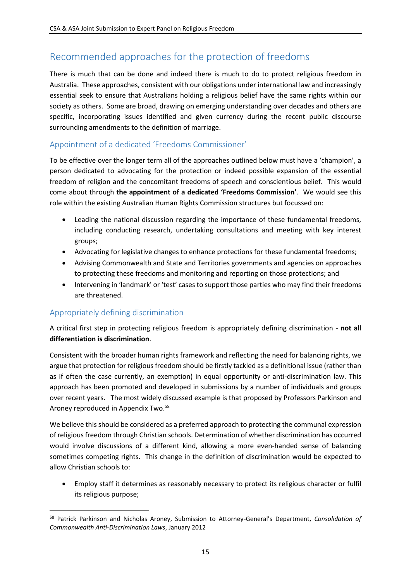# Recommended approaches for the protection of freedoms

There is much that can be done and indeed there is much to do to protect religious freedom in Australia. These approaches, consistent with our obligations under international law and increasingly essential seek to ensure that Australians holding a religious belief have the same rights within our society as others. Some are broad, drawing on emerging understanding over decades and others are specific, incorporating issues identified and given currency during the recent public discourse surrounding amendments to the definition of marriage.

## Appointment of a dedicated 'Freedoms Commissioner'

To be effective over the longer term all of the approaches outlined below must have a 'champion', a person dedicated to advocating for the protection or indeed possible expansion of the essential freedom of religion and the concomitant freedoms of speech and conscientious belief. This would come about through **the appointment of a dedicated 'Freedoms Commission'**. We would see this role within the existing Australian Human Rights Commission structures but focussed on:

- Leading the national discussion regarding the importance of these fundamental freedoms, including conducting research, undertaking consultations and meeting with key interest groups;
- Advocating for legislative changes to enhance protections for these fundamental freedoms;
- Advising Commonwealth and State and Territories governments and agencies on approaches to protecting these freedoms and monitoring and reporting on those protections; and
- Intervening in 'landmark' or 'test' cases to support those parties who may find their freedoms are threatened.

## Appropriately defining discrimination

1

A critical first step in protecting religious freedom is appropriately defining discrimination - **not all differentiation is discrimination**.

Consistent with the broader human rights framework and reflecting the need for balancing rights, we argue that protection for religious freedom should be firstly tackled as a definitional issue (rather than as if often the case currently, an exemption) in equal opportunity or anti-discrimination law. This approach has been promoted and developed in submissions by a number of individuals and groups over recent years. The most widely discussed example is that proposed by Professors Parkinson and Aroney reproduced in Appendix Two.<sup>58</sup>

We believe this should be considered as a preferred approach to protecting the communal expression of religious freedom through Christian schools. Determination of whether discrimination has occurred would involve discussions of a different kind, allowing a more even-handed sense of balancing sometimes competing rights. This change in the definition of discrimination would be expected to allow Christian schools to:

• Employ staff it determines as reasonably necessary to protect its religious character or fulfil its religious purpose;

<sup>58</sup> Patrick Parkinson and Nicholas Aroney, Submission to Attorney-General's Department, *Consolidation of Commonwealth Anti-Discrimination Laws*, January 2012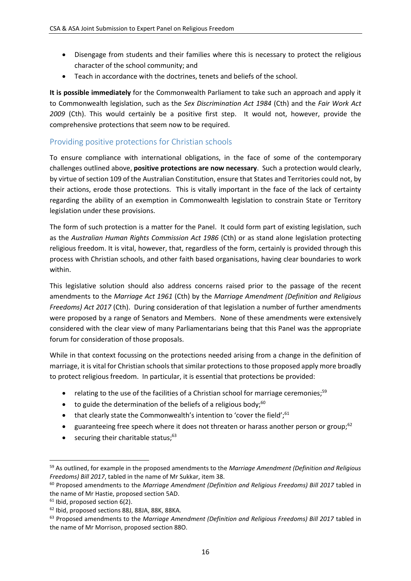- Disengage from students and their families where this is necessary to protect the religious character of the school community; and
- Teach in accordance with the doctrines, tenets and beliefs of the school.

**It is possible immediately** for the Commonwealth Parliament to take such an approach and apply it to Commonwealth legislation, such as the *Sex Discrimination Act 1984* (Cth) and the *Fair Work Act 2009* (Cth). This would certainly be a positive first step. It would not, however, provide the comprehensive protections that seem now to be required.

## Providing positive protections for Christian schools

To ensure compliance with international obligations, in the face of some of the contemporary challenges outlined above, **positive protections are now necessary**. Such a protection would clearly, by virtue of section 109 of the Australian Constitution, ensure that States and Territories could not, by their actions, erode those protections. This is vitally important in the face of the lack of certainty regarding the ability of an exemption in Commonwealth legislation to constrain State or Territory legislation under these provisions.

The form of such protection is a matter for the Panel. It could form part of existing legislation, such as the *Australian Human Rights Commission Act 1986* (Cth) or as stand alone legislation protecting religious freedom. It is vital, however, that, regardless of the form, certainly is provided through this process with Christian schools, and other faith based organisations, having clear boundaries to work within.

This legislative solution should also address concerns raised prior to the passage of the recent amendments to the *Marriage Act 1961* (Cth) by the *Marriage Amendment (Definition and Religious Freedoms) Act 2017* (Cth). During consideration of that legislation a number of further amendments were proposed by a range of Senators and Members. None of these amendments were extensively considered with the clear view of many Parliamentarians being that this Panel was the appropriate forum for consideration of those proposals.

While in that context focussing on the protections needed arising from a change in the definition of marriage, it is vital for Christian schools that similar protections to those proposed apply more broadly to protect religious freedom. In particular, it is essential that protections be provided:

- relating to the use of the facilities of a Christian school for marriage ceremonies;<sup>59</sup>
- to guide the determination of the beliefs of a religious body: $60$
- that clearly state the Commonwealth's intention to 'cover the field',<sup>61</sup>
- guaranteeing free speech where it does not threaten or harass another person or group;<sup>62</sup>
- $\bullet$  securing their charitable status; $^{63}$

<sup>59</sup> As outlined, for example in the proposed amendments to the *Marriage Amendment (Definition and Religious Freedoms) Bill 2017*, tabled in the name of Mr Sukkar, item 38.

<sup>60</sup> Proposed amendments to the *Marriage Amendment (Definition and Religious Freedoms) Bill 2017* tabled in the name of Mr Hastie, proposed section 5AD.

 $61$  Ibid, proposed section 6(2).

<sup>62</sup> Ibid, proposed sections 88J, 88JA, 88K, 88KA.

<sup>63</sup> Proposed amendments to the *Marriage Amendment (Definition and Religious Freedoms) Bill 2017* tabled in the name of Mr Morrison, proposed section 88O.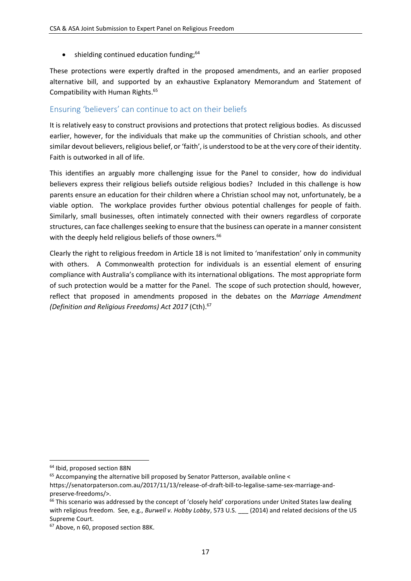$\bullet$  shielding continued education funding; $64$ 

These protections were expertly drafted in the proposed amendments, and an earlier proposed alternative bill, and supported by an exhaustive Explanatory Memorandum and Statement of Compatibility with Human Rights. 65

## Ensuring 'believers' can continue to act on their beliefs

It is relatively easy to construct provisions and protections that protect religious bodies. As discussed earlier, however, for the individuals that make up the communities of Christian schools, and other similar devout believers, religious belief, or 'faith', is understood to be at the very core of their identity. Faith is outworked in all of life.

This identifies an arguably more challenging issue for the Panel to consider, how do individual believers express their religious beliefs outside religious bodies? Included in this challenge is how parents ensure an education for their children where a Christian school may not, unfortunately, be a viable option. The workplace provides further obvious potential challenges for people of faith. Similarly, small businesses, often intimately connected with their owners regardless of corporate structures, can face challenges seeking to ensure that the business can operate in a manner consistent with the deeply held religious beliefs of those owners.<sup>66</sup>

Clearly the right to religious freedom in Article 18 is not limited to 'manifestation' only in community with others. A Commonwealth protection for individuals is an essential element of ensuring compliance with Australia's compliance with its international obligations. The most appropriate form of such protection would be a matter for the Panel. The scope of such protection should, however, reflect that proposed in amendments proposed in the debates on the *Marriage Amendment (Definition and Religious Freedoms) Act 2017* (Cth).<sup>67</sup>

<sup>64</sup> Ibid, proposed section 88N

<sup>&</sup>lt;sup>65</sup> Accompanying the alternative bill proposed by Senator Patterson, available online <

https://senatorpaterson.com.au/2017/11/13/release-of-draft-bill-to-legalise-same-sex-marriage-andpreserve-freedoms/>.

 $66$  This scenario was addressed by the concept of 'closely held' corporations under United States law dealing with religious freedom. See, e.g., *Burwell v. Hobby Lobby*, 573 U.S. (2014) and related decisions of the US Supreme Court.

<sup>67</sup> Above, n 60, proposed section 88K.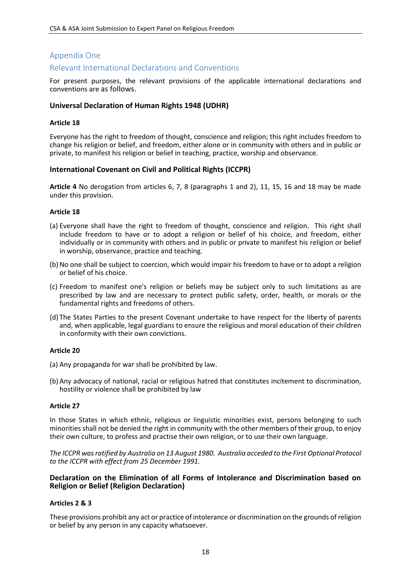#### Appendix One

#### Relevant International Declarations and Conventions

For present purposes, the relevant provisions of the applicable international declarations and conventions are as follows.

#### **Universal Declaration of Human Rights 1948 (UDHR)**

#### **Article 18**

Everyone has the right to freedom of thought, conscience and religion; this right includes freedom to change his religion or belief, and freedom, either alone or in community with others and in public or private, to manifest his religion or belief in teaching, practice, worship and observance.

#### **International Covenant on Civil and Political Rights (ICCPR)**

**Article 4** No derogation from articles 6, 7, 8 (paragraphs 1 and 2), 11, 15, 16 and 18 may be made under this provision.

#### **Article 18**

- (a) Everyone shall have the right to freedom of thought, conscience and religion. This right shall include freedom to have or to adopt a religion or belief of his choice, and freedom, either individually or in community with others and in public or private to manifest his religion or belief in worship, observance, practice and teaching.
- (b) No one shall be subject to coercion, which would impair his freedom to have or to adopt a religion or belief of his choice.
- (c) Freedom to manifest one's religion or beliefs may be subject only to such limitations as are prescribed by law and are necessary to protect public safety, order, health, or morals or the fundamental rights and freedoms of others.
- (d) The States Parties to the present Covenant undertake to have respect for the liberty of parents and, when applicable, legal guardians to ensure the religious and moral education of their children in conformity with their own convictions.

#### **Article 20**

- (a) Any propaganda for war shall be prohibited by law.
- (b) Any advocacy of national, racial or religious hatred that constitutes incitement to discrimination, hostility or violence shall be prohibited by law

#### **Article 27**

In those States in which ethnic, religious or linguistic minorities exist, persons belonging to such minorities shall not be denied the right in community with the other members of their group, to enjoy their own culture, to profess and practise their own religion, or to use their own language.

*The ICCPR was ratified by Australia on 13 August 1980. Australia acceded to the First Optional Protocol to the ICCPR with effect from 25 December 1991.* 

#### **Declaration on the Elimination of all Forms of Intolerance and Discrimination based on Religion or Belief (Religion Declaration)**

#### **Articles 2 & 3**

These provisions prohibit any act or practice of intolerance or discrimination on the grounds of religion or belief by any person in any capacity whatsoever.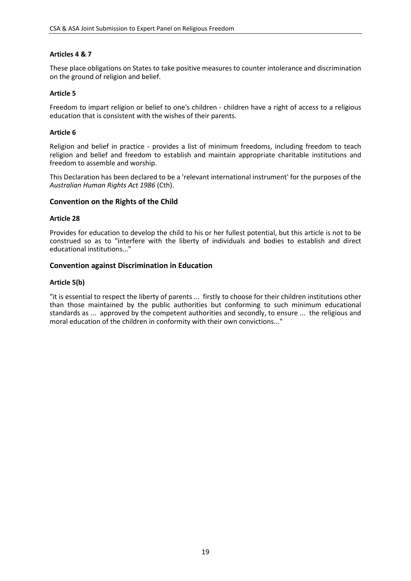#### **Articles 4 & 7**

These place obligations on States to take positive measures to counter intolerance and discrimination on the ground of religion and belief.

#### **Article 5**

Freedom to impart religion or belief to one's children - children have a right of access to a religious education that is consistent with the wishes of their parents.

#### **Article 6**

Religion and belief in practice - provides a list of minimum freedoms, including freedom to teach religion and belief and freedom to establish and maintain appropriate charitable institutions and freedom to assemble and worship.

This Declaration has been declared to be a 'relevant international instrument' for the purposes of the *Australian Human Rights Act 1986* (Cth).

#### **Convention on the Rights of the Child**

#### **Article 28**

Provides for education to develop the child to his or her fullest potential, but this article is not to be construed so as to "interfere with the liberty of individuals and bodies to establish and direct educational institutions..."

#### **Convention against Discrimination in Education**

#### **Article 5(b)**

"it is essential to respect the liberty of parents ... firstly to choose for their children institutions other than those maintained by the public authorities but conforming to such minimum educational standards as ... approved by the competent authorities and secondly, to ensure ... the religious and moral education of the children in conformity with their own convictions..."